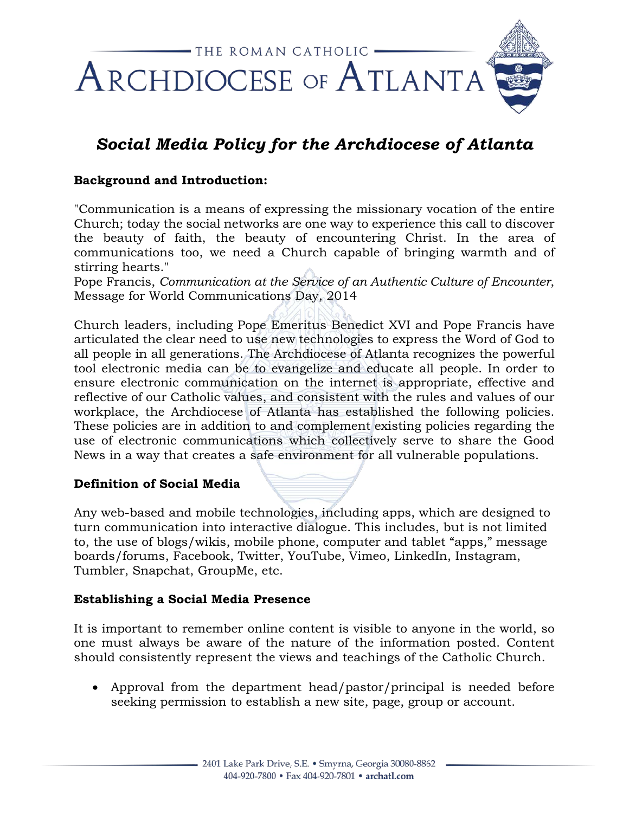

# *Social Media Policy for the Archdiocese of Atlanta*

# **Background and Introduction:**

"Communication is a means of expressing the missionary vocation of the entire Church; today the social networks are one way to experience this call to discover the beauty of faith, the beauty of encountering Christ. In the area of communications too, we need a Church capable of bringing warmth and of stirring hearts."

Pope Francis, *Communication at the Service of an Authentic Culture of Encounter*, Message for World Communications Day, 2014

Church leaders, including Pope Emeritus Benedict XVI and Pope Francis have articulated the clear need to use new technologies to express the Word of God to all people in all generations. The Archdiocese of Atlanta recognizes the powerful tool electronic media can be to evangelize and educate all people. In order to ensure electronic communication on the internet is appropriate, effective and reflective of our Catholic values, and consistent with the rules and values of our workplace, the Archdiocese of Atlanta has established the following policies. These policies are in addition to and complement existing policies regarding the use of electronic communications which collectively serve to share the Good News in a way that creates a safe environment for all vulnerable populations.

#### **Definition of Social Media**

Any web-based and mobile technologies, including apps, which are designed to turn communication into interactive dialogue. This includes, but is not limited to, the use of blogs/wikis, mobile phone, computer and tablet "apps," message boards/forums, Facebook, Twitter, YouTube, Vimeo, LinkedIn, Instagram, Tumbler, Snapchat, GroupMe, etc.

#### **Establishing a Social Media Presence**

It is important to remember online content is visible to anyone in the world, so one must always be aware of the nature of the information posted. Content should consistently represent the views and teachings of the Catholic Church.

• Approval from the department head/pastor/principal is needed before seeking permission to establish a new site, page, group or account.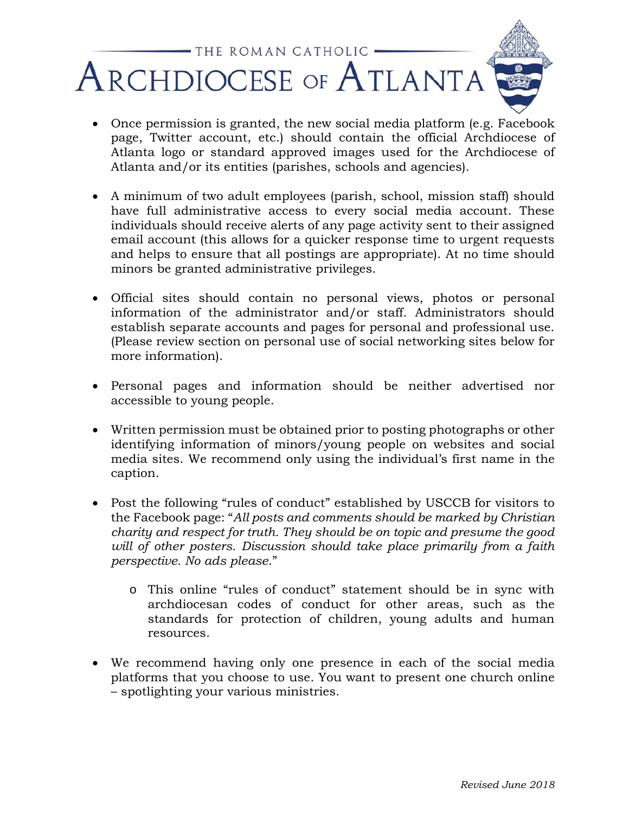

- Once permission is granted, the new social media platform (e.g. Facebook page, Twitter account, etc.) should contain the official Archdiocese of Atlanta logo or standard approved images used for the Archdiocese of Atlanta and/or its entities (parishes, schools and agencies).
- A minimum of two adult employees (parish, school, mission staff) should have full administrative access to every social media account. These individuals should receive alerts of any page activity sent to their assigned email account (this allows for a quicker response time to urgent requests and helps to ensure that all postings are appropriate). At no time should minors be granted administrative privileges.
- Official sites should contain no personal views, photos or personal information of the administrator and/or staff. Administrators should establish separate accounts and pages for personal and professional use. (Please review section on personal use of social networking sites below for more information).
- Personal pages and information should be neither advertised nor accessible to young people.
- Written permission must be obtained prior to posting photographs or other identifying information of minors/young people on websites and social media sites. We recommend only using the individual's first name in the caption.
- Post the following "rules of conduct" established by USCCB for visitors to the Facebook page: "*All posts and comments should be marked by Christian charity and respect for truth. They should be on topic and presume the good will of other posters. Discussion should take place primarily from a faith perspective. No ads please*."
	- o This online "rules of conduct" statement should be in sync with archdiocesan codes of conduct for other areas, such as the standards for protection of children, young adults and human resources.
- We recommend having only one presence in each of the social media platforms that you choose to use. You want to present one church online – spotlighting your various ministries.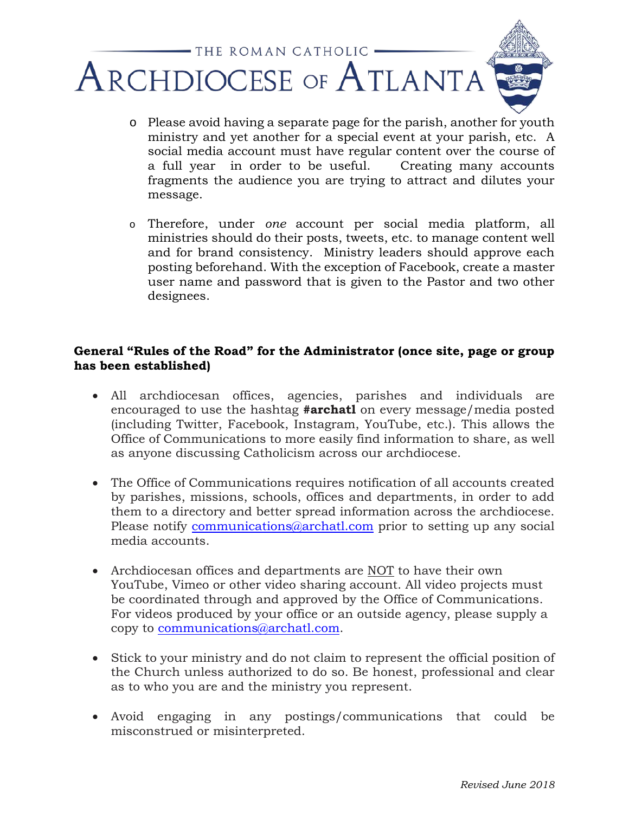

- o Please avoid having a separate page for the parish, another for youth ministry and yet another for a special event at your parish, etc. A social media account must have regular content over the course of a full year in order to be useful. Creating many accounts fragments the audience you are trying to attract and dilutes your message.
- o Therefore, under *one* account per social media platform, all ministries should do their posts, tweets, etc. to manage content well and for brand consistency. Ministry leaders should approve each posting beforehand. With the exception of Facebook, create a master user name and password that is given to the Pastor and two other designees.

# **General "Rules of the Road" for the Administrator (once site, page or group has been established)**

- All archdiocesan offices, agencies, parishes and individuals are encouraged to use the hashtag **#archatl** on every message/media posted (including Twitter, Facebook, Instagram, YouTube, etc.). This allows the Office of Communications to more easily find information to share, as well as anyone discussing Catholicism across our archdiocese.
- The Office of Communications requires notification of all accounts created by parishes, missions, schools, offices and departments, in order to add them to a directory and better spread information across the archdiocese. Please notify [communications@archatl.com](mailto:communications@archatl.com) prior to setting up any social media accounts.
- Archdiocesan offices and departments are NOT to have their own YouTube, Vimeo or other video sharing account. All video projects must be coordinated through and approved by the Office of Communications. For videos produced by your office or an outside agency, please supply a copy to [communications@archatl.com.](mailto:communications@archatl.com)
- Stick to your ministry and do not claim to represent the official position of the Church unless authorized to do so. Be honest, professional and clear as to who you are and the ministry you represent.
- Avoid engaging in any postings/communications that could be misconstrued or misinterpreted.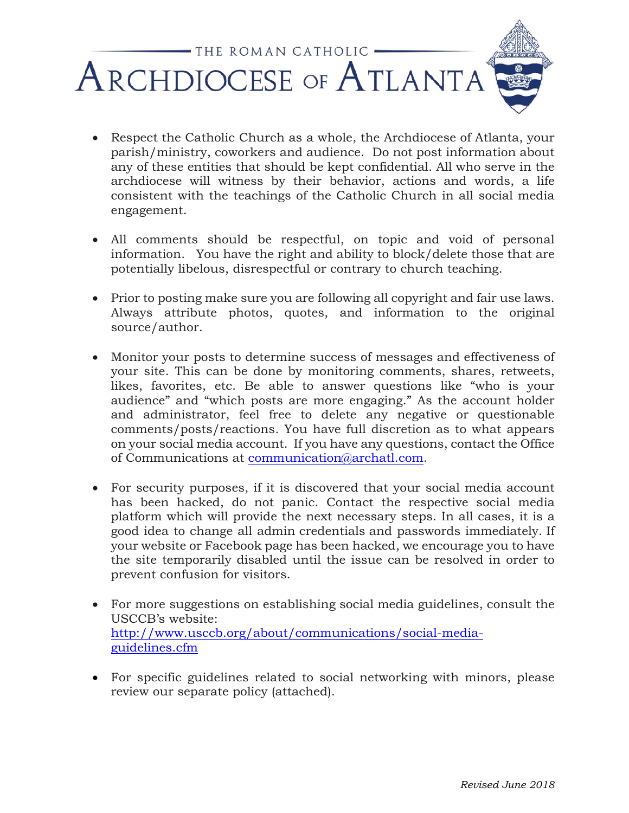

- Respect the Catholic Church as a whole, the Archdiocese of Atlanta, your parish/ministry, coworkers and audience. Do not post information about any of these entities that should be kept confidential. All who serve in the archdiocese will witness by their behavior, actions and words, a life consistent with the teachings of the Catholic Church in all social media engagement.
- All comments should be respectful, on topic and void of personal information. You have the right and ability to block/delete those that are potentially libelous, disrespectful or contrary to church teaching.
- Prior to posting make sure you are following all copyright and fair use laws. Always attribute photos, quotes, and information to the original source/author.
- Monitor your posts to determine success of messages and effectiveness of your site. This can be done by monitoring comments, shares, retweets, likes, favorites, etc. Be able to answer questions like "who is your audience" and "which posts are more engaging." As the account holder and administrator, feel free to delete any negative or questionable comments/posts/reactions. You have full discretion as to what appears on your social media account. If you have any questions, contact the Office of Communications at [communication@archatl.com.](mailto:communication@archatl.com)
- For security purposes, if it is discovered that your social media account has been hacked, do not panic. Contact the respective social media platform which will provide the next necessary steps. In all cases, it is a good idea to change all admin credentials and passwords immediately. If your website or Facebook page has been hacked, we encourage you to have the site temporarily disabled until the issue can be resolved in order to prevent confusion for visitors.
- For more suggestions on establishing social media guidelines, consult the USCCB's website: [http://www.usccb.org/about/communications/social-media](http://www.usccb.org/about/communications/social-media-guidelines.cfm)[guidelines.cfm](http://www.usccb.org/about/communications/social-media-guidelines.cfm)
- For specific guidelines related to social networking with minors, please review our separate policy (attached).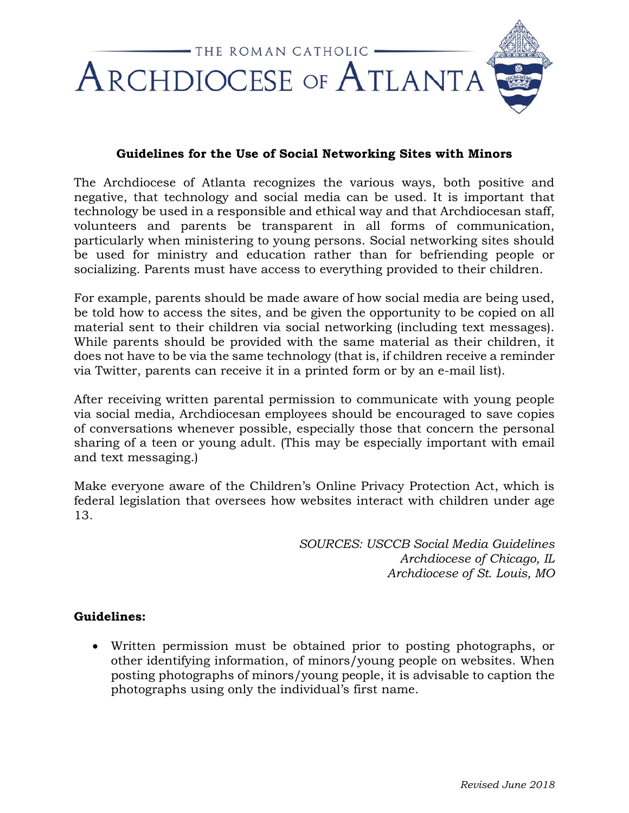

#### **Guidelines for the Use of Social Networking Sites with Minors**

The Archdiocese of Atlanta recognizes the various ways, both positive and negative, that technology and social media can be used. It is important that technology be used in a responsible and ethical way and that Archdiocesan staff, volunteers and parents be transparent in all forms of communication, particularly when ministering to young persons. Social networking sites should be used for ministry and education rather than for befriending people or socializing. Parents must have access to everything provided to their children.

For example, parents should be made aware of how social media are being used, be told how to access the sites, and be given the opportunity to be copied on all material sent to their children via social networking (including text messages). While parents should be provided with the same material as their children, it does not have to be via the same technology (that is, if children receive a reminder via Twitter, parents can receive it in a printed form or by an e-mail list).

After receiving written parental permission to communicate with young people via social media, Archdiocesan employees should be encouraged to save copies of conversations whenever possible, especially those that concern the personal sharing of a teen or young adult. (This may be especially important with email and text messaging.)

Make everyone aware of the Children's Online Privacy Protection Act, which is federal legislation that oversees how websites interact with children under age 13.

> *SOURCES: USCCB Social Media Guidelines Archdiocese of Chicago, IL Archdiocese of St. Louis, MO*

#### **Guidelines:**

• Written permission must be obtained prior to posting photographs, or other identifying information, of minors/young people on websites. When posting photographs of minors/young people, it is advisable to caption the photographs using only the individual's first name.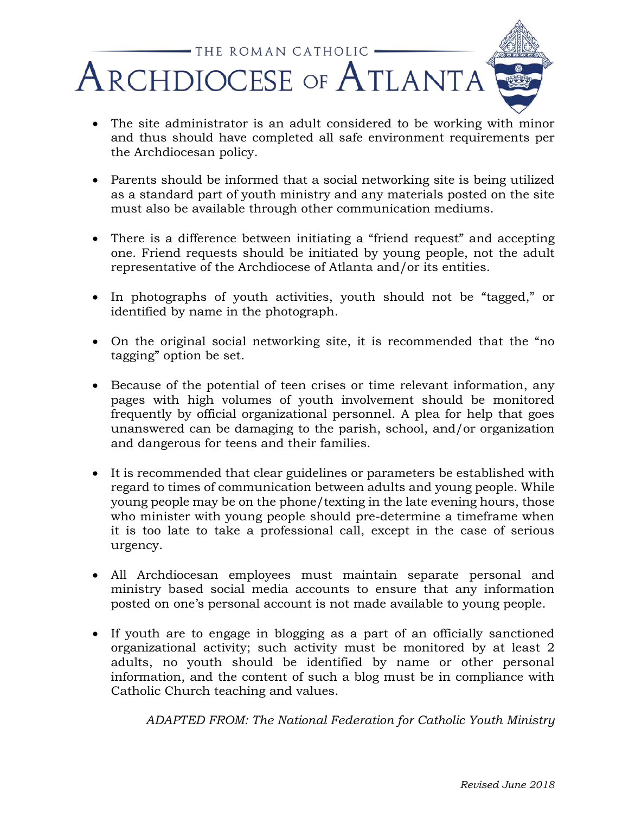

- The site administrator is an adult considered to be working with minor and thus should have completed all safe environment requirements per the Archdiocesan policy.
- Parents should be informed that a social networking site is being utilized as a standard part of youth ministry and any materials posted on the site must also be available through other communication mediums.
- There is a difference between initiating a "friend request" and accepting one. Friend requests should be initiated by young people, not the adult representative of the Archdiocese of Atlanta and/or its entities.
- In photographs of youth activities, youth should not be "tagged," or identified by name in the photograph.
- On the original social networking site, it is recommended that the "no tagging" option be set.
- Because of the potential of teen crises or time relevant information, any pages with high volumes of youth involvement should be monitored frequently by official organizational personnel. A plea for help that goes unanswered can be damaging to the parish, school, and/or organization and dangerous for teens and their families.
- It is recommended that clear guidelines or parameters be established with regard to times of communication between adults and young people. While young people may be on the phone/texting in the late evening hours, those who minister with young people should pre-determine a timeframe when it is too late to take a professional call, except in the case of serious urgency.
- All Archdiocesan employees must maintain separate personal and ministry based social media accounts to ensure that any information posted on one's personal account is not made available to young people.
- If youth are to engage in blogging as a part of an officially sanctioned organizational activity; such activity must be monitored by at least 2 adults, no youth should be identified by name or other personal information, and the content of such a blog must be in compliance with Catholic Church teaching and values.

*ADAPTED FROM: The National Federation for Catholic Youth Ministry*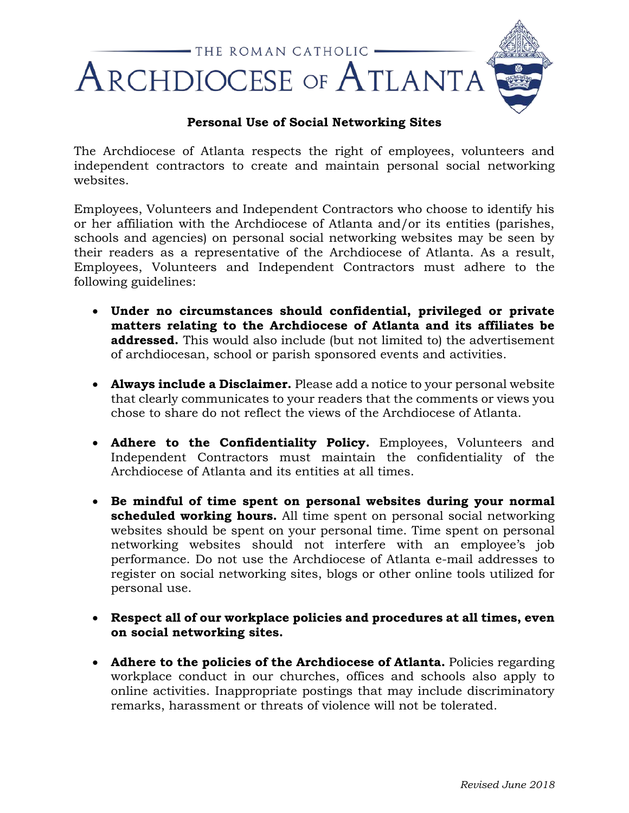

### **Personal Use of Social Networking Sites**

The Archdiocese of Atlanta respects the right of employees, volunteers and independent contractors to create and maintain personal social networking websites.

Employees, Volunteers and Independent Contractors who choose to identify his or her affiliation with the Archdiocese of Atlanta and/or its entities (parishes, schools and agencies) on personal social networking websites may be seen by their readers as a representative of the Archdiocese of Atlanta. As a result, Employees, Volunteers and Independent Contractors must adhere to the following guidelines:

- **Under no circumstances should confidential, privileged or private matters relating to the Archdiocese of Atlanta and its affiliates be addressed.** This would also include (but not limited to) the advertisement of archdiocesan, school or parish sponsored events and activities.
- **Always include a Disclaimer.** Please add a notice to your personal website that clearly communicates to your readers that the comments or views you chose to share do not reflect the views of the Archdiocese of Atlanta.
- **Adhere to the Confidentiality Policy.** Employees, Volunteers and Independent Contractors must maintain the confidentiality of the Archdiocese of Atlanta and its entities at all times.
- **Be mindful of time spent on personal websites during your normal scheduled working hours.** All time spent on personal social networking websites should be spent on your personal time. Time spent on personal networking websites should not interfere with an employee's job performance. Do not use the Archdiocese of Atlanta e-mail addresses to register on social networking sites, blogs or other online tools utilized for personal use.
- **Respect all of our workplace policies and procedures at all times, even on social networking sites.**
- **Adhere to the policies of the Archdiocese of Atlanta.** Policies regarding workplace conduct in our churches, offices and schools also apply to online activities. Inappropriate postings that may include discriminatory remarks, harassment or threats of violence will not be tolerated.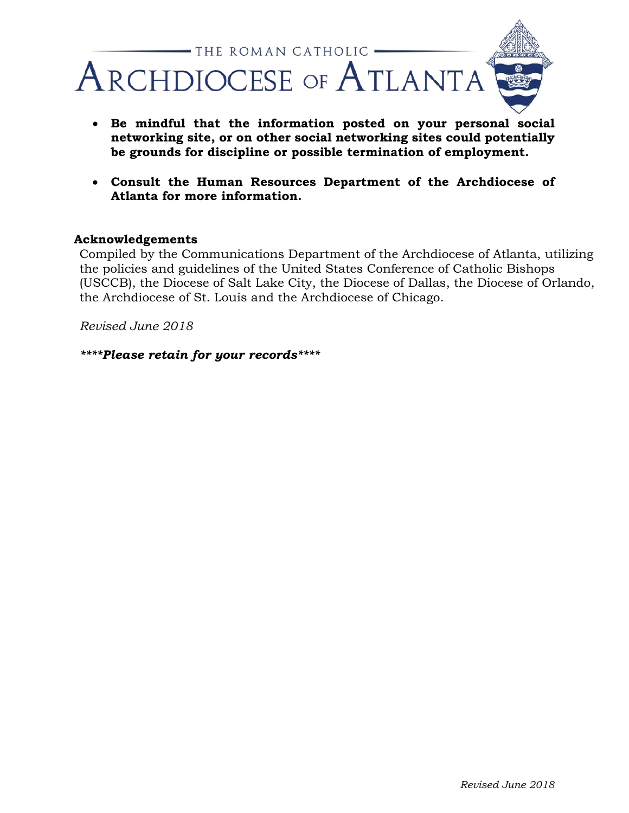

- **Be mindful that the information posted on your personal social networking site, or on other social networking sites could potentially be grounds for discipline or possible termination of employment.**
- **Consult the Human Resources Department of the Archdiocese of Atlanta for more information.**

#### **Acknowledgements**

Compiled by the Communications Department of the Archdiocese of Atlanta, utilizing the policies and guidelines of the United States Conference of Catholic Bishops (USCCB), the Diocese of Salt Lake City, the Diocese of Dallas, the Diocese of Orlando, the Archdiocese of St. Louis and the Archdiocese of Chicago.

*Revised June 2018*

*\*\*\*\*Please retain for your records\*\*\*\**